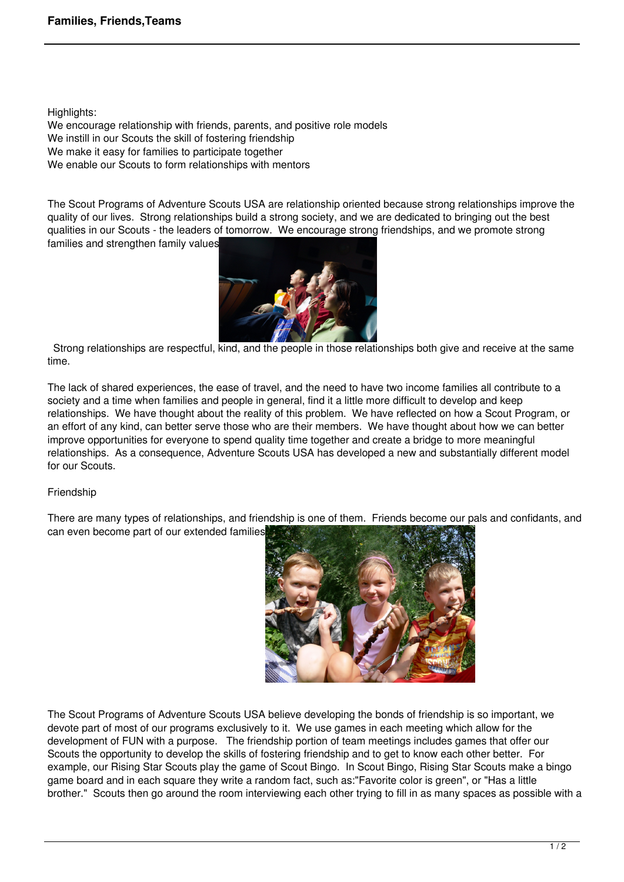Highlights:

We encourage relationship with friends, parents, and positive role models We instill in our Scouts the skill of fostering friendship We make it easy for families to participate together We enable our Scouts to form relationships with mentors

The Scout Programs of Adventure Scouts USA are relationship oriented because strong relationships improve the quality of our lives. Strong relationships build a strong society, and we are dedicated to bringing out the best qualities in our Scouts - the leaders of tomorrow. We encourage strong friendships, and we promote strong families and strengthen family values



 Strong relationships are respectful, kind, and the people in those relationships both give and receive at the same time.

The lack of shared experiences, the ease of travel, and the need to have two income families all contribute to a society and a time when families and people in general, find it a little more difficult to develop and keep relationships. We have thought about the reality of this problem. We have reflected on how a Scout Program, or an effort of any kind, can better serve those who are their members. We have thought about how we can better improve opportunities for everyone to spend quality time together and create a bridge to more meaningful relationships. As a consequence, Adventure Scouts USA has developed a new and substantially different model for our Scouts.

## Friendship

There are many types of relationships, and friendship is one of them. Friends become our pals and confidants, and can even become part of our extended families.



The Scout Programs of Adventure Scouts USA believe developing the bonds of friendship is so important, we devote part of most of our programs exclusively to it. We use games in each meeting which allow for the development of FUN with a purpose. The friendship portion of team meetings includes games that offer our Scouts the opportunity to develop the skills of fostering friendship and to get to know each other better. For example, our Rising Star Scouts play the game of Scout Bingo. In Scout Bingo, Rising Star Scouts make a bingo game board and in each square they write a random fact, such as:"Favorite color is green", or "Has a little brother." Scouts then go around the room interviewing each other trying to fill in as many spaces as possible with a